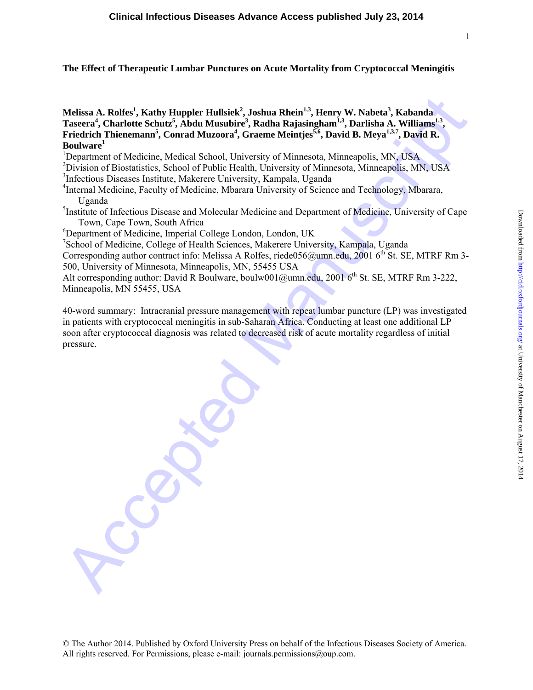# **The Effect of Therapeutic Lumbar Punctures on Acute Mortality from Cryptococcal Meningitis**

**Melissa A. Rolfes1 , Kathy Huppler Hullsiek<sup>2</sup> , Joshua Rhein1,3, Henry W. Nabeta3 , Kabanda**  Taseera<sup>4</sup>, Charlotte Schutz<sup>5</sup>, Abdu Musubire<sup>3</sup>, Radha Rajasingham<sup>1,3</sup>, Darlisha A. Williams<sup>1,3</sup>, Friedrich Thienemann<sup>5</sup>, Conrad Muzoora<sup>4</sup>, Graeme Meintjes<sup>5,6</sup>, David B. Meya<sup>1,3,7</sup>, David R. **Boulware<sup>1</sup>**

<sup>1</sup>Department of Medicine, Medical School, University of Minnesota, Minneapolis, MN, USA

<sup>2</sup> Division of Biostatistics, School of Public Health, University of Minnesota, Minneapolis, MN, USA

3 Infectious Diseases Institute, Makerere University, Kampala, Uganda

<sup>4</sup>Internal Medicine, Faculty of Medicine, Mbarara University of Science and Technology, Mbarara, Uganda

<sup>5</sup>Institute of Infectious Disease and Molecular Medicine and Department of Medicine, University of Cape Town, Cape Town, South Africa

6 Department of Medicine, Imperial College London, London, UK

7 School of Medicine, College of Health Sciences, Makerere University, Kampala, Uganda

Corresponding author contract info: Melissa A Rolfes, riede056@umn.edu,  $20016^{th}$  St. SE, MTRF Rm 3-500, University of Minnesota, Minneapolis, MN, 55455 USA

Alt corresponding author: David R Boulware, boulw001@umn.edu, 2001  $6<sup>th</sup>$  St. SE, MTRF Rm 3-222, Minneapolis, MN 55455, USA

Melissa A. Rolfes<sup>1</sup>, Kathay Huppler Hullsiek<sup>2</sup>, Joshun Rhein<sup>13</sup>, Henry W. Nabeta<sup>3</sup>, Kabanda<sup>32</sup><br>Taseera', Charlotte Schutz", Abdu Musabire<sup>3</sup>, Radim Rajasingkann<sup>2</sup>, Melisma Melisma.<br>Friedrich Thioremann', Conrad Muzoo 40-word summary: Intracranial pressure management with repeat lumbar puncture (LP) was investigated in patients with cryptococcal meningitis in sub-Saharan Africa. Conducting at least one additional LP soon after cryptococcal diagnosis was related to decreased risk of acute mortality regardless of initial pressure.

© The Author 2014. Published by Oxford University Press on behalf of the Infectious Diseases Society of America. All rights reserved. For Permissions, please e-mail: journals.permissions@oup.com.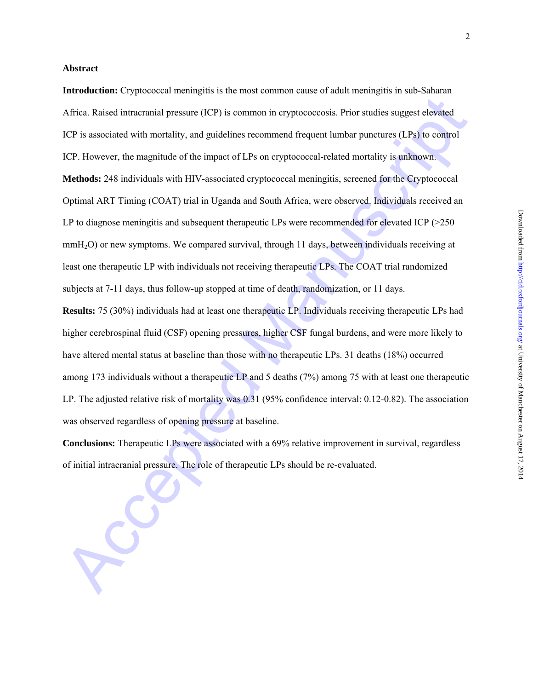## **Abstract**

Africa. Raised intractualal pressure (ICP) is common in cryptococcosis. Prior stadies suggest elevated<br>ICP is associated with mortality, and guidelines recommend frequent lumbar punctures (LPs) to control<br>ICP. However, the **Introduction:** Cryptococcal meningitis is the most common cause of adult meningitis in sub-Saharan Africa. Raised intracranial pressure (ICP) is common in cryptococcosis. Prior studies suggest elevated ICP is associated with mortality, and guidelines recommend frequent lumbar punctures (LPs) to control ICP. However, the magnitude of the impact of LPs on cryptococcal-related mortality is unknown. **Methods:** 248 individuals with HIV-associated cryptococcal meningitis, screened for the Cryptococcal Optimal ART Timing (COAT) trial in Uganda and South Africa, were observed. Individuals received an LP to diagnose meningitis and subsequent therapeutic LPs were recommended for elevated ICP (>250) mmH<sub>2</sub>O) or new symptoms. We compared survival, through 11 days, between individuals receiving at least one therapeutic LP with individuals not receiving therapeutic LPs. The COAT trial randomized subjects at 7-11 days, thus follow-up stopped at time of death, randomization, or 11 days.

**Results:** 75 (30%) individuals had at least one therapeutic LP. Individuals receiving therapeutic LPs had higher cerebrospinal fluid (CSF) opening pressures, higher CSF fungal burdens, and were more likely to have altered mental status at baseline than those with no therapeutic LPs. 31 deaths (18%) occurred among 173 individuals without a therapeutic LP and 5 deaths (7%) among 75 with at least one therapeutic LP. The adjusted relative risk of mortality was 0.31 (95% confidence interval: 0.12-0.82). The association was observed regardless of opening pressure at baseline.

**Conclusions:** Therapeutic LPs were associated with a 69% relative improvement in survival, regardless of initial intracranial pressure. The role of therapeutic LPs should be re-evaluated.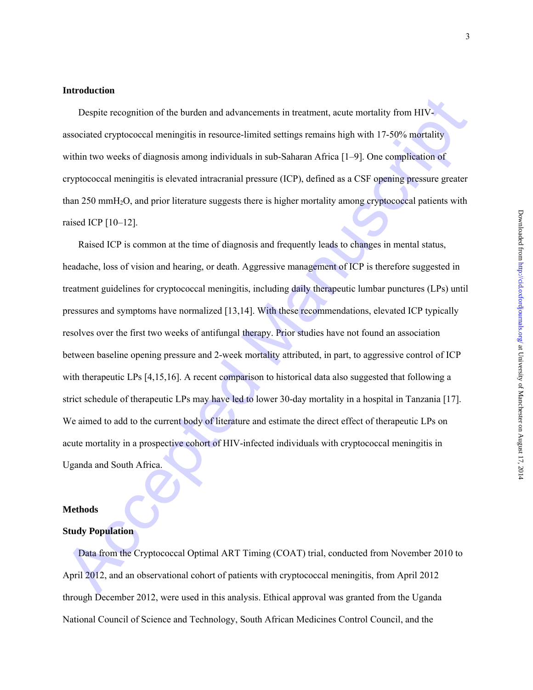### **Introduction**

Despite recognition of the burden and advancements in treatment, acute mortality from HIVassociated cryptococcal meningitis in resource-limited settings remains high with 17-50% mortality within two weeks of diagnosis among individuals in sub-Saharan Africa [1–9]. One complication of cryptococcal meningitis is elevated intracranial pressure (ICP), defined as a CSF opening pressure greater than 250 mmH2O, and prior literature suggests there is higher mortality among cryptococcal patients with raised ICP [10–12].

Despiie recognition of the burden and advancements in treatment, actor motitally from HIV-<br>associated cryptococcal meningitis in resource-limited settings remains high with 17-50<sup>6</sup>s motitality<br>within two weeks of diagnosi Raised ICP is common at the time of diagnosis and frequently leads to changes in mental status, headache, loss of vision and hearing, or death. Aggressive management of ICP is therefore suggested in treatment guidelines for cryptococcal meningitis, including daily therapeutic lumbar punctures (LPs) until pressures and symptoms have normalized [13,14]. With these recommendations, elevated ICP typically resolves over the first two weeks of antifungal therapy. Prior studies have not found an association between baseline opening pressure and 2-week mortality attributed, in part, to aggressive control of ICP with therapeutic LPs [4,15,16]. A recent comparison to historical data also suggested that following a strict schedule of therapeutic LPs may have led to lower 30-day mortality in a hospital in Tanzania [17]. We aimed to add to the current body of literature and estimate the direct effect of therapeutic LPs on acute mortality in a prospective cohort of HIV-infected individuals with cryptococcal meningitis in Uganda and South Africa.

## **Methods**

### **Study Population**

Data from the Cryptococcal Optimal ART Timing (COAT) trial, conducted from November 2010 to April 2012, and an observational cohort of patients with cryptococcal meningitis, from April 2012 through December 2012, were used in this analysis. Ethical approval was granted from the Uganda National Council of Science and Technology, South African Medicines Control Council, and the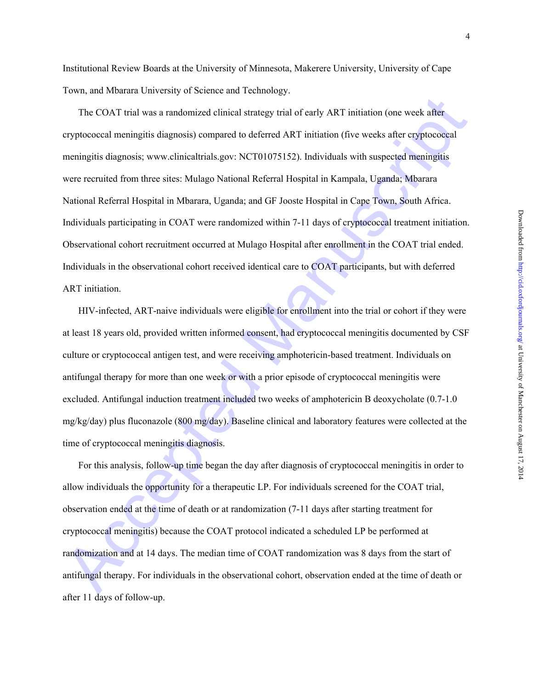Institutional Review Boards at the University of Minnesota, Makerere University, University of Cape Town, and Mbarara University of Science and Technology.

The COAT trial was a randomized clinical strategy trial of early ART initiation (one week after<br>expyrococcal meningitis diagnosis) compared to deferred ART initiation (five weeks after capprococcal<br>meningitis diagnosis; ww The COAT trial was a randomized clinical strategy trial of early ART initiation (one week after cryptococcal meningitis diagnosis) compared to deferred ART initiation (five weeks after cryptococcal meningitis diagnosis; www.clinicaltrials.gov: NCT01075152). Individuals with suspected meningitis were recruited from three sites: Mulago National Referral Hospital in Kampala, Uganda; Mbarara National Referral Hospital in Mbarara, Uganda; and GF Jooste Hospital in Cape Town, South Africa. Individuals participating in COAT were randomized within 7-11 days of cryptococcal treatment initiation. Observational cohort recruitment occurred at Mulago Hospital after enrollment in the COAT trial ended. Individuals in the observational cohort received identical care to COAT participants, but with deferred ART initiation.

HIV-infected, ART-naive individuals were eligible for enrollment into the trial or cohort if they were at least 18 years old, provided written informed consent, had cryptococcal meningitis documented by CSF culture or cryptococcal antigen test, and were receiving amphotericin-based treatment. Individuals on antifungal therapy for more than one week or with a prior episode of cryptococcal meningitis were excluded. Antifungal induction treatment included two weeks of amphotericin B deoxycholate (0.7-1.0 mg/kg/day) plus fluconazole (800 mg/day). Baseline clinical and laboratory features were collected at the time of cryptococcal meningitis diagnosis.

For this analysis, follow-up time began the day after diagnosis of cryptococcal meningitis in order to allow individuals the opportunity for a therapeutic LP. For individuals screened for the COAT trial, observation ended at the time of death or at randomization (7-11 days after starting treatment for cryptococcal meningitis) because the COAT protocol indicated a scheduled LP be performed at randomization and at 14 days. The median time of COAT randomization was 8 days from the start of antifungal therapy. For individuals in the observational cohort, observation ended at the time of death or after 11 days of follow-up.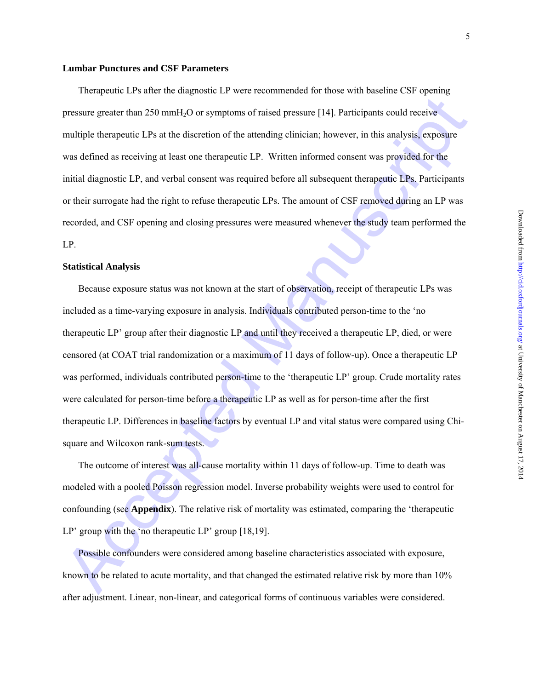## **Lumbar Punctures and CSF Parameters**

Therapeutic LPs after the diagnostic LP were recommended for those with baseline CSF opening pressure greater than 250 mmH2O or symptoms of raised pressure [14]. Participants could receive multiple therapeutic LPs at the discretion of the attending clinician; however, in this analysis, exposure was defined as receiving at least one therapeutic LP. Written informed consent was provided for the initial diagnostic LP, and verbal consent was required before all subsequent therapeutic LPs. Participants or their surrogate had the right to refuse therapeutic LPs. The amount of CSF removed during an LP was recorded, and CSF opening and closing pressures were measured whenever the study team performed the LP.

## **Statistical Analysis**

pressure greater than 250 mmH<sub>L</sub>O or symptoms of raised pressure [14]. Participants could receive<br>multiple therapeutic LPs at the disorction of the attending clinician, however, in this analysis, exposure<br>was defined as r Because exposure status was not known at the start of observation, receipt of therapeutic LPs was included as a time-varying exposure in analysis. Individuals contributed person-time to the 'no therapeutic LP' group after their diagnostic LP and until they received a therapeutic LP, died, or were censored (at COAT trial randomization or a maximum of 11 days of follow-up). Once a therapeutic LP was performed, individuals contributed person-time to the 'therapeutic LP' group. Crude mortality rates were calculated for person-time before a therapeutic LP as well as for person-time after the first therapeutic LP. Differences in baseline factors by eventual LP and vital status were compared using Chisquare and Wilcoxon rank-sum tests.

The outcome of interest was all-cause mortality within 11 days of follow-up. Time to death was modeled with a pooled Poisson regression model. Inverse probability weights were used to control for confounding (see **Appendix**). The relative risk of mortality was estimated, comparing the 'therapeutic LP' group with the 'no therapeutic LP' group [18,19].

Possible confounders were considered among baseline characteristics associated with exposure, known to be related to acute mortality, and that changed the estimated relative risk by more than 10% after adjustment. Linear, non-linear, and categorical forms of continuous variables were considered.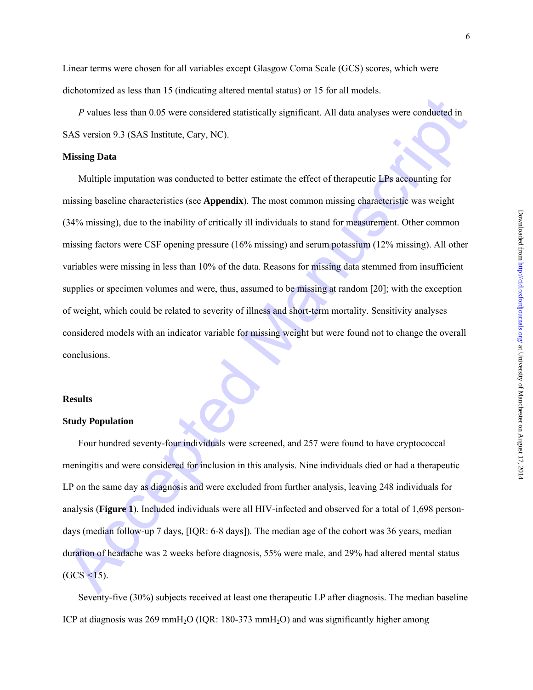Linear terms were chosen for all variables except Glasgow Coma Scale (GCS) scores, which were dichotomized as less than 15 (indicating altered mental status) or 15 for all models.

*P* values less than 0.05 were considered statistically significant. All data analyses were conducted in SAS version 9.3 (SAS Institute, Cary, NC).

### **Missing Data**

*P* values less than 0.05 were considered statistically significant. All data analyses were conducted in<br>SAS version 9.3 (SAS Institute, Cary, NC).<br> **Missing Data**<br>
Multiple imputation was conducted to better estimate the Multiple imputation was conducted to better estimate the effect of therapeutic LPs accounting for missing baseline characteristics (see **Appendix**). The most common missing characteristic was weight (34% missing), due to the inability of critically ill individuals to stand for measurement. Other common missing factors were CSF opening pressure (16% missing) and serum potassium (12% missing). All other variables were missing in less than 10% of the data. Reasons for missing data stemmed from insufficient supplies or specimen volumes and were, thus, assumed to be missing at random [20]; with the exception of weight, which could be related to severity of illness and short-term mortality. Sensitivity analyses considered models with an indicator variable for missing weight but were found not to change the overall conclusions.

## **Results**

#### **Study Population**

Four hundred seventy-four individuals were screened, and 257 were found to have cryptococcal meningitis and were considered for inclusion in this analysis. Nine individuals died or had a therapeutic LP on the same day as diagnosis and were excluded from further analysis, leaving 248 individuals for analysis (**Figure 1**). Included individuals were all HIV-infected and observed for a total of 1,698 persondays (median follow-up 7 days, [IQR: 6-8 days]). The median age of the cohort was 36 years, median duration of headache was 2 weeks before diagnosis, 55% were male, and 29% had altered mental status (GCS *<*15).

Seventy-five (30%) subjects received at least one therapeutic LP after diagnosis. The median baseline ICP at diagnosis was  $269 \text{ mmH}_2\text{O}$  (IQR: 180-373 mmH<sub>2</sub>O) and was significantly higher among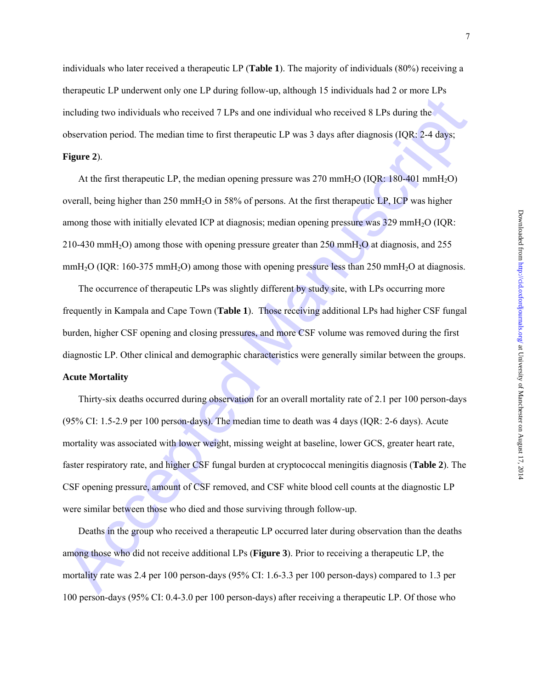individuals who later received a therapeutic LP (**Table 1**). The majority of individuals (80%) receiving a therapeutic LP underwent only one LP during follow-up, although 15 individuals had 2 or more LPs including two individuals who received 7 LPs and one individual who received 8 LPs during the observation period. The median time to first therapeutic LP was 3 days after diagnosis (IQR: 2-4 days; **Figure 2**).

At the first therapeutic LP, the median opening pressure was  $270 \text{ mm}H_2O$  (IQR: 180-401 mmH<sub>2</sub>O) overall, being higher than 250 mmH2O in 58% of persons. At the first therapeutic LP, ICP was higher among those with initially elevated ICP at diagnosis; median opening pressure was 329 mmH2O (IQR: 210-430 mmH<sub>2</sub>O) among those with opening pressure greater than 250 mmH<sub>2</sub>O at diagnosis, and 255 mmH<sub>2</sub>O (IQR: 160-375 mmH<sub>2</sub>O) among those with opening pressure less than 250 mmH<sub>2</sub>O at diagnosis.

The occurrence of therapeutic LPs was slightly different by study site, with LPs occurring more frequently in Kampala and Cape Town (**Table 1**). Those receiving additional LPs had higher CSF fungal burden, higher CSF opening and closing pressures, and more CSF volume was removed during the first diagnostic LP. Other clinical and demographic characteristics were generally similar between the groups.

# **Acute Mortality**

including two individuals who received 7 LPs and one individual who received 8 LPs during the<br>
observation period. The median time to first the<br>acpeute LP was 3 days after diagnosis (IQR, 2-4 days,<br> **Figure 2).**<br>
At the f Thirty-six deaths occurred during observation for an overall mortality rate of 2.1 per 100 person-days (95% CI: 1.5-2.9 per 100 person-days). The median time to death was 4 days (IQR: 2-6 days). Acute mortality was associated with lower weight, missing weight at baseline, lower GCS, greater heart rate, faster respiratory rate, and higher CSF fungal burden at cryptococcal meningitis diagnosis (**Table 2**). The CSF opening pressure, amount of CSF removed, and CSF white blood cell counts at the diagnostic LP were similar between those who died and those surviving through follow-up.

Deaths in the group who received a therapeutic LP occurred later during observation than the deaths among those who did not receive additional LPs (**Figure 3**). Prior to receiving a therapeutic LP, the mortality rate was 2.4 per 100 person-days (95% CI: 1.6-3.3 per 100 person-days) compared to 1.3 per 100 person-days (95% CI: 0.4-3.0 per 100 person-days) after receiving a therapeutic LP. Of those who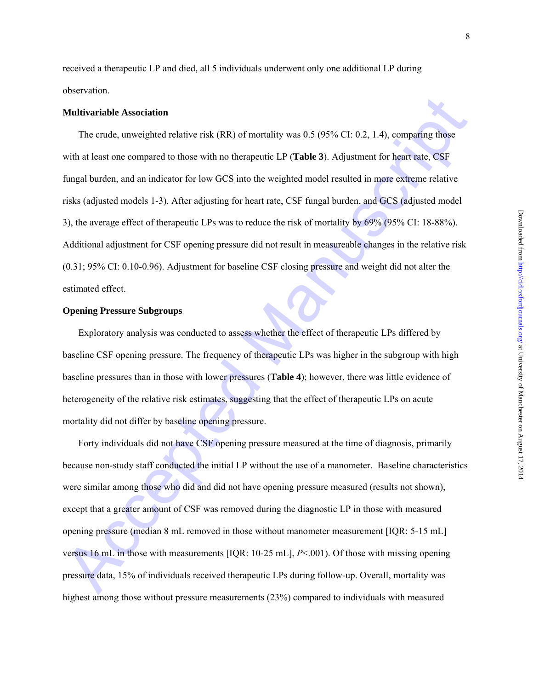received a therapeutic LP and died, all 5 individuals underwent only one additional LP during observation.

### **Multivariable Association**

**Multivariable Association**<br>
The crude, unweighted relative risk (RR) of mortality was 0.5 (95% CI: 0.2, 1.4), comparing those<br>
with at least one compared to those with an therapeutic LP (Table 3). Adjustment for heart rat The crude, unweighted relative risk (RR) of mortality was 0.5 (95% CI: 0.2, 1.4), comparing those with at least one compared to those with no therapeutic LP (**Table 3**). Adjustment for heart rate, CSF fungal burden, and an indicator for low GCS into the weighted model resulted in more extreme relative risks (adjusted models 1-3). After adjusting for heart rate, CSF fungal burden, and GCS (adjusted model 3), the average effect of therapeutic LPs was to reduce the risk of mortality by 69% (95% CI: 18-88%). Additional adjustment for CSF opening pressure did not result in measureable changes in the relative risk (0.31; 95% CI: 0.10-0.96). Adjustment for baseline CSF closing pressure and weight did not alter the estimated effect.

# **Opening Pressure Subgroups**

Exploratory analysis was conducted to assess whether the effect of therapeutic LPs differed by baseline CSF opening pressure. The frequency of therapeutic LPs was higher in the subgroup with high baseline pressures than in those with lower pressures (**Table 4**); however, there was little evidence of heterogeneity of the relative risk estimates, suggesting that the effect of therapeutic LPs on acute mortality did not differ by baseline opening pressure.

Forty individuals did not have CSF opening pressure measured at the time of diagnosis, primarily because non-study staff conducted the initial LP without the use of a manometer. Baseline characteristics were similar among those who did and did not have opening pressure measured (results not shown), except that a greater amount of CSF was removed during the diagnostic LP in those with measured opening pressure (median 8 mL removed in those without manometer measurement [IQR: 5-15 mL] versus 16 mL in those with measurements [IQR: 10-25 mL], *P*<.001). Of those with missing opening pressure data, 15% of individuals received therapeutic LPs during follow-up. Overall, mortality was highest among those without pressure measurements (23%) compared to individuals with measured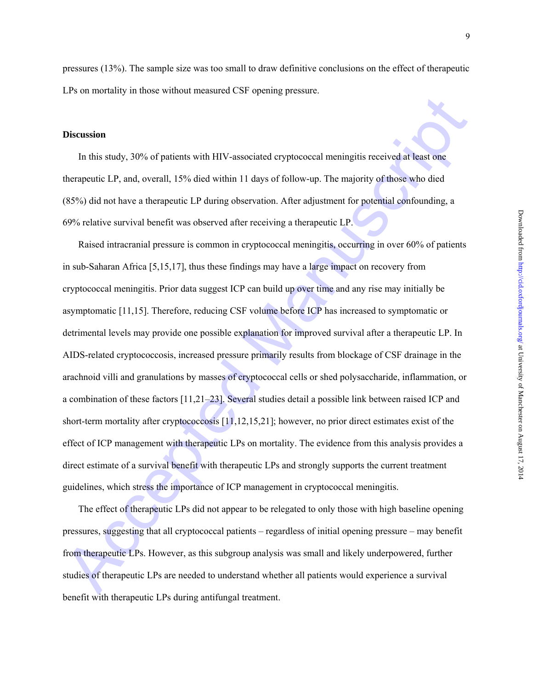pressures (13%). The sample size was too small to draw definitive conclusions on the effect of therapeutic LPs on mortality in those without measured CSF opening pressure.

## **Discussion**

In this study, 30% of patients with HIV-associated cryptococcal meningitis received at least one therapeutic LP, and, overall, 15% died within 11 days of follow-up. The majority of those who died (85%) did not have a therapeutic LP during observation. After adjustment for potential confounding, a 69% relative survival benefit was observed after receiving a therapeutic LP.

**Discussion**<br>In this study, 30% of patients with HIV-associated oryptoeocoal meningitis received at least one<br>therapeutic LP, and, overall, 15% died within 11 days of follow-up. The majority of those who died<br>(85%) did not Raised intracranial pressure is common in cryptococcal meningitis, occurring in over 60% of patients in sub-Saharan Africa [5,15,17], thus these findings may have a large impact on recovery from cryptococcal meningitis. Prior data suggest ICP can build up over time and any rise may initially be asymptomatic [11,15]. Therefore, reducing CSF volume before ICP has increased to symptomatic or detrimental levels may provide one possible explanation for improved survival after a therapeutic LP. In AIDS-related cryptococcosis, increased pressure primarily results from blockage of CSF drainage in the arachnoid villi and granulations by masses of cryptococcal cells or shed polysaccharide, inflammation, or a combination of these factors [11,21–23]. Several studies detail a possible link between raised ICP and short-term mortality after cryptococcosis [11,12,15,21]; however, no prior direct estimates exist of the effect of ICP management with therapeutic LPs on mortality. The evidence from this analysis provides a direct estimate of a survival benefit with therapeutic LPs and strongly supports the current treatment guidelines, which stress the importance of ICP management in cryptococcal meningitis.

The effect of therapeutic LPs did not appear to be relegated to only those with high baseline opening pressures, suggesting that all cryptococcal patients – regardless of initial opening pressure – may benefit from therapeutic LPs. However, as this subgroup analysis was small and likely underpowered, further studies of therapeutic LPs are needed to understand whether all patients would experience a survival benefit with therapeutic LPs during antifungal treatment.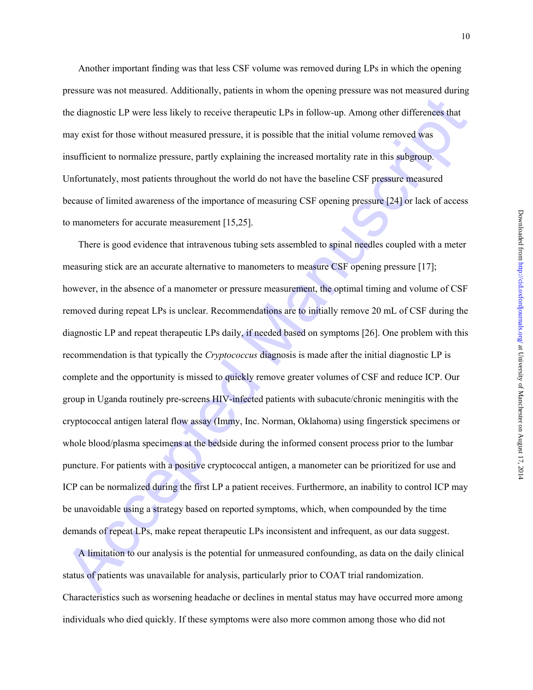Another important finding was that less CSF volume was removed during LPs in which the opening pressure was not measured. Additionally, patients in whom the opening pressure was not measured during the diagnostic LP were less likely to receive therapeutic LPs in follow-up. Among other differences that may exist for those without measured pressure, it is possible that the initial volume removed was insufficient to normalize pressure, partly explaining the increased mortality rate in this subgroup. Unfortunately, most patients throughout the world do not have the baseline CSF pressure measured because of limited awareness of the importance of measuring CSF opening pressure [24] or lack of access to manometers for accurate measurement [15,25].

The diagnostic LP were less likely to receive the<br>rapeatic LPs were less likely to receive therapeatic LPs in follow-up. A<br>mong other differences that may exist for those without measured pressure, it is possible that the There is good evidence that intravenous tubing sets assembled to spinal needles coupled with a meter measuring stick are an accurate alternative to manometers to measure CSF opening pressure [17]; however, in the absence of a manometer or pressure measurement, the optimal timing and volume of CSF removed during repeat LPs is unclear. Recommendations are to initially remove 20 mL of CSF during the diagnostic LP and repeat therapeutic LPs daily, if needed based on symptoms [26]. One problem with this recommendation is that typically the *Cryptococcus* diagnosis is made after the initial diagnostic LP is complete and the opportunity is missed to quickly remove greater volumes of CSF and reduce ICP. Our group in Uganda routinely pre-screens HIV-infected patients with subacute/chronic meningitis with the cryptococcal antigen lateral flow assay (Immy, Inc. Norman, Oklahoma) using fingerstick specimens or whole blood/plasma specimens at the bedside during the informed consent process prior to the lumbar puncture. For patients with a positive cryptococcal antigen, a manometer can be prioritized for use and ICP can be normalized during the first LP a patient receives. Furthermore, an inability to control ICP may be unavoidable using a strategy based on reported symptoms, which, when compounded by the time demands of repeat LPs, make repeat therapeutic LPs inconsistent and infrequent, as our data suggest.

A limitation to our analysis is the potential for unmeasured confounding, as data on the daily clinical status of patients was unavailable for analysis, particularly prior to COAT trial randomization. Characteristics such as worsening headache or declines in mental status may have occurred more among individuals who died quickly. If these symptoms were also more common among those who did not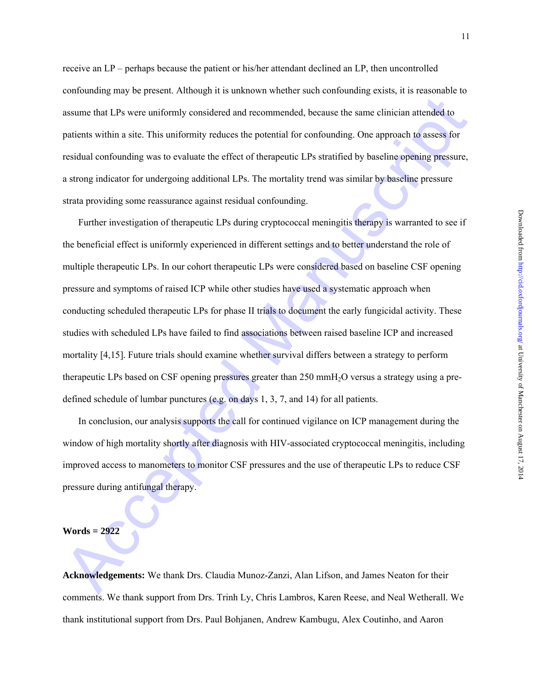Downloaded from http://cid.oxfordjournals.org/ at University of Manchester on August 17, 2014 Downloaded from <http://cid.oxfordjournals.org/> at University of Manchester on August 17, 2014

receive an LP – perhaps because the patient or his/her attendant declined an LP, then uncontrolled confounding may be present. Although it is unknown whether such confounding exists, it is reasonable to assume that LPs were uniformly considered and recommended, because the same clinician attended to patients within a site. This uniformity reduces the potential for confounding. One approach to assess for residual confounding was to evaluate the effect of therapeutic LPs stratified by baseline opening pressure, a strong indicator for undergoing additional LPs. The mortality trend was similar by baseline pressure strata providing some reassurance against residual confounding.

assume that LPs were uniformly considered and recommended, because the same clinician attended to<br>patients within a site. This uniformly considered and recommended, because the same clinician attended to<br>patients within a Further investigation of therapeutic LPs during cryptococcal meningitis therapy is warranted to see if the beneficial effect is uniformly experienced in different settings and to better understand the role of multiple therapeutic LPs. In our cohort therapeutic LPs were considered based on baseline CSF opening pressure and symptoms of raised ICP while other studies have used a systematic approach when conducting scheduled therapeutic LPs for phase II trials to document the early fungicidal activity. These studies with scheduled LPs have failed to find associations between raised baseline ICP and increased mortality [4,15]. Future trials should examine whether survival differs between a strategy to perform therapeutic LPs based on CSF opening pressures greater than 250 mmH2O versus a strategy using a predefined schedule of lumbar punctures (e.g. on days 1, 3, 7, and 14) for all patients.

In conclusion, our analysis supports the call for continued vigilance on ICP management during the window of high mortality shortly after diagnosis with HIV-associated cryptococcal meningitis, including improved access to manometers to monitor CSF pressures and the use of therapeutic LPs to reduce CSF pressure during antifungal therapy.

## **Words = 2922**

**Acknowledgements:** We thank Drs. Claudia Munoz-Zanzi, Alan Lifson, and James Neaton for their comments. We thank support from Drs. Trinh Ly, Chris Lambros, Karen Reese, and Neal Wetherall. We thank institutional support from Drs. Paul Bohjanen, Andrew Kambugu, Alex Coutinho, and Aaron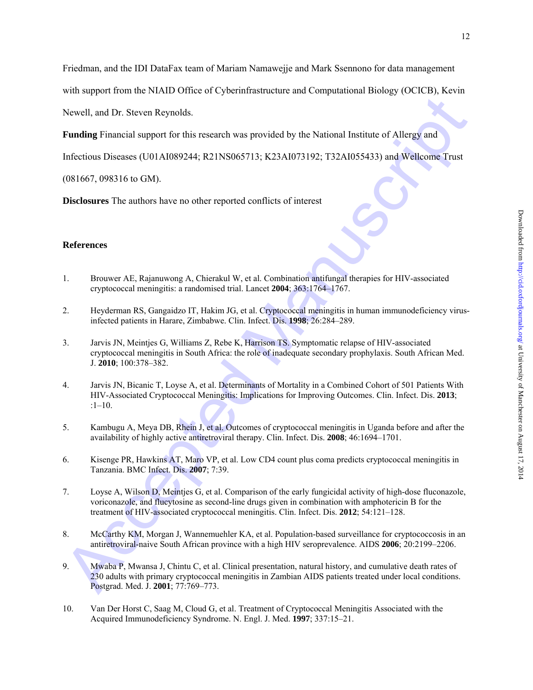Friedman, and the IDI DataFax team of Mariam Namawejje and Mark Ssennono for data management

with support from the NIAID Office of Cyberinfrastructure and Computational Biology (OCICB), Kevin

Newell, and Dr. Steven Reynolds.

**Funding** Financial support for this research was provided by the National Institute of Allergy and

Infectious Diseases (U01AI089244; R21NS065713; K23AI073192; T32AI055433) and Wellcome Trust

(081667, 098316 to GM).

**Disclosures** The authors have no other reported conflicts of interest

# **References**

- 1. Brouwer AE, Rajanuwong A, Chierakul W, et al. Combination antifungal therapies for HIV-associated cryptococcal meningitis: a randomised trial. Lancet **2004**; 363:1764–1767.
- 2. Heyderman RS, Gangaidzo IT, Hakim JG, et al. Cryptococcal meningitis in human immunodeficiency virusinfected patients in Harare, Zimbabwe. Clin. Infect. Dis. **1998**; 26:284–289.
- Newell, and Dr. Steven Reynolds.<br> **Evaluation** Transicial support for this research was provided by the National Institute of Allergy and<br>
Infectious Diseases (U01A1089244; R21N5065713; R22A1073192; T22A1055423) and Wellc 3. Jarvis JN, Meintjes G, Williams Z, Rebe K, Harrison TS. Symptomatic relapse of HIV-associated cryptococcal meningitis in South Africa: the role of inadequate secondary prophylaxis. South African Med. J. **2010**; 100:378–382.
- 4. Jarvis JN, Bicanic T, Loyse A, et al. Determinants of Mortality in a Combined Cohort of 501 Patients With HIV-Associated Cryptococcal Meningitis: Implications for Improving Outcomes. Clin. Infect. Dis. **2013**; :1–10.
- 5. Kambugu A, Meya DB, Rhein J, et al. Outcomes of cryptococcal meningitis in Uganda before and after the availability of highly active antiretroviral therapy. Clin. Infect. Dis. **2008**; 46:1694–1701.
- 6. Kisenge PR, Hawkins AT, Maro VP, et al. Low CD4 count plus coma predicts cryptococcal meningitis in Tanzania. BMC Infect. Dis. **2007**; 7:39.
- 7. Loyse A, Wilson D, Meintjes G, et al. Comparison of the early fungicidal activity of high-dose fluconazole, voriconazole, and flucytosine as second-line drugs given in combination with amphotericin B for the treatment of HIV-associated cryptococcal meningitis. Clin. Infect. Dis. **2012**; 54:121–128.
- 8. McCarthy KM, Morgan J, Wannemuehler KA, et al. Population-based surveillance for cryptococcosis in an antiretroviral-naive South African province with a high HIV seroprevalence. AIDS **2006**; 20:2199–2206.
- 9. Mwaba P, Mwansa J, Chintu C, et al. Clinical presentation, natural history, and cumulative death rates of 230 adults with primary cryptococcal meningitis in Zambian AIDS patients treated under local conditions. Postgrad. Med. J. **2001**; 77:769–773.
- 10. Van Der Horst C, Saag M, Cloud G, et al. Treatment of Cryptococcal Meningitis Associated with the Acquired Immunodeficiency Syndrome. N. Engl. J. Med. **1997**; 337:15–21.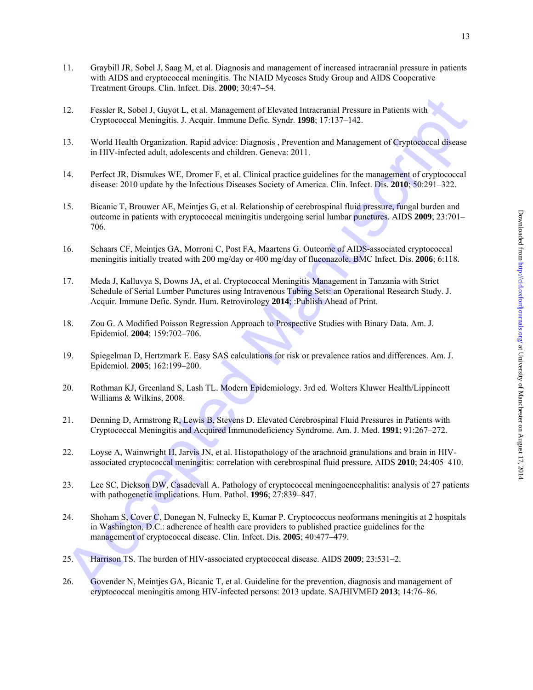- 11. Graybill JR, Sobel J, Saag M, et al. Diagnosis and management of increased intracranial pressure in patients with AIDS and cryptococcal meningitis. The NIAID Mycoses Study Group and AIDS Cooperative Treatment Groups. Clin. Infect. Dis. **2000**; 30:47–54.
- 12. Fessler R, Sobel J, Guyot L, et al. Management of Elevated Intracranial Pressure in Patients with Cryptococcal Meningitis. J. Acquir. Immune Defic. Syndr. **1998**; 17:137–142.
- 13. World Health Organization. Rapid advice: Diagnosis , Prevention and Management of Cryptococcal disease in HIV-infected adult, adolescents and children. Geneva: 2011.
- 14. Perfect JR, Dismukes WE, Dromer F, et al. Clinical practice guidelines for the management of cryptococcal disease: 2010 update by the Infectious Diseases Society of America. Clin. Infect. Dis. **2010**; 50:291–322.
- 22 Fessler R. Sobel J, Guyot L. et al. Management of Elevated Intractmini Pressure in Patients with<br>
Cryplacectal Meningitis. J. Acquir, Immune Diefic Synd: 1998, 17:137-142.<br>
23 World Health Organizations Rapids alternat 15. Bicanic T, Brouwer AE, Meintjes G, et al. Relationship of cerebrospinal fluid pressure, fungal burden and outcome in patients with cryptococcal meningitis undergoing serial lumbar punctures. AIDS **2009**; 23:701– 706.
- 16. Schaars CF, Meintjes GA, Morroni C, Post FA, Maartens G. Outcome of AIDS-associated cryptococcal meningitis initially treated with 200 mg/day or 400 mg/day of fluconazole. BMC Infect. Dis. **2006**; 6:118.
- 17. Meda J, Kalluvya S, Downs JA, et al. Cryptococcal Meningitis Management in Tanzania with Strict Schedule of Serial Lumber Punctures using Intravenous Tubing Sets: an Operational Research Study. J. Acquir. Immune Defic. Syndr. Hum. Retrovirology **2014**; :Publish Ahead of Print.
- 18. Zou G. A Modified Poisson Regression Approach to Prospective Studies with Binary Data. Am. J. Epidemiol. **2004**; 159:702–706.
- 19. Spiegelman D, Hertzmark E. Easy SAS calculations for risk or prevalence ratios and differences. Am. J. Epidemiol. **2005**; 162:199–200.
- 20. Rothman KJ, Greenland S, Lash TL. Modern Epidemiology. 3rd ed. Wolters Kluwer Health/Lippincott Williams & Wilkins, 2008.
- 21. Denning D, Armstrong R, Lewis B, Stevens D. Elevated Cerebrospinal Fluid Pressures in Patients with Cryptococcal Meningitis and Acquired Immunodeficiency Syndrome. Am. J. Med. **1991**; 91:267–272.
- 22. Loyse A, Wainwright H, Jarvis JN, et al. Histopathology of the arachnoid granulations and brain in HIVassociated cryptococcal meningitis: correlation with cerebrospinal fluid pressure. AIDS **2010**; 24:405–410.
- 23. Lee SC, Dickson DW, Casadevall A. Pathology of cryptococcal meningoencephalitis: analysis of 27 patients with pathogenetic implications. Hum. Pathol. **1996**; 27:839–847.
- 24. Shoham S, Cover C, Donegan N, Fulnecky E, Kumar P. Cryptococcus neoformans meningitis at 2 hospitals in Washington, D.C.: adherence of health care providers to published practice guidelines for the management of cryptococcal disease. Clin. Infect. Dis. **2005**; 40:477–479.
- 25. Harrison TS. The burden of HIV-associated cryptococcal disease. AIDS **2009**; 23:531–2.
- 26. Govender N, Meintjes GA, Bicanic T, et al. Guideline for the prevention, diagnosis and management of cryptococcal meningitis among HIV-infected persons: 2013 update. SAJHIVMED **2013**; 14:76–86.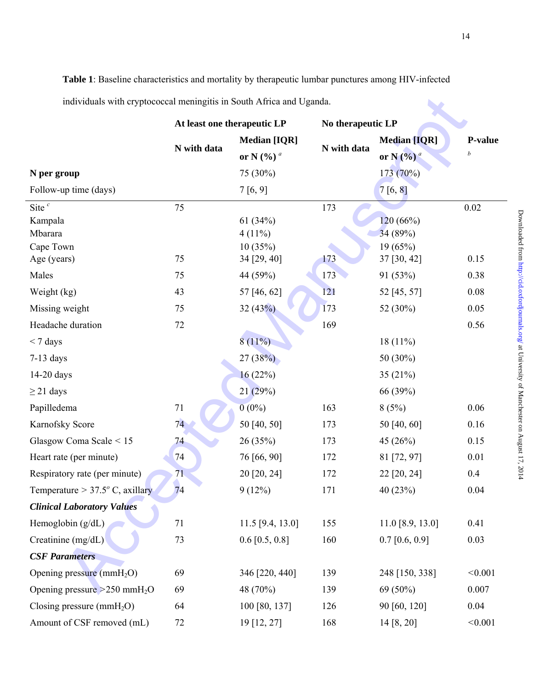**Table 1**: Baseline characteristics and mortality by therapeutic lumbar punctures among HIV-infected individuals with cryptococcal meningitis in South Africa and Uganda.

| individuals with cryptococcal meningitis in South Africa and Uganda.      |                             |                                                                       |                   |                                                             |                     |  |  |
|---------------------------------------------------------------------------|-----------------------------|-----------------------------------------------------------------------|-------------------|-------------------------------------------------------------|---------------------|--|--|
|                                                                           | At least one therapeutic LP |                                                                       | No therapeutic LP |                                                             |                     |  |  |
| N per group<br>Follow-up time (days)                                      | N with data                 | <b>Median [IQR]</b><br>or N $(%)$ <sup>a</sup><br>75 (30%)<br>7[6, 9] | N with data       | <b>Median [IQR]</b><br>or N $(%)^a$<br>173 (70%)<br>7[6, 8] | <b>P-value</b><br>b |  |  |
| Site $^c$<br>Kampala<br>Mbarara<br>Cape Town                              | 75                          | 61 $(34%)$<br>$4(11\%)$<br>10(35%)                                    | 173               | 120(66%)<br>34 (89%)<br>19 (65%)                            | 0.02                |  |  |
| Age (years)<br>Males                                                      | 75<br>75                    | 34 [29, 40]<br>44 (59%)                                               | 173<br>173        | 37 [30, 42]<br>91 (53%)                                     | 0.15<br>0.38        |  |  |
| Weight (kg)                                                               | 43                          | 57 [46, 62]                                                           | 121               | 52 [45, 57]                                                 | $0.08\,$            |  |  |
| Missing weight<br>Headache duration                                       | 75<br>72                    | 32(43%)                                                               | 173<br>169        | 52 (30%)                                                    | 0.05<br>0.56        |  |  |
| $<$ 7 days<br>$7-13$ days                                                 |                             | $8(11\%)$<br>27(38%)                                                  |                   | 18 $(11%)$<br>50 (30%)                                      |                     |  |  |
| $14-20$ days<br>$\geq$ 21 days                                            |                             | 16(22%)<br>21(29%)                                                    |                   | 35 $(21%)$<br>66 (39%)                                      |                     |  |  |
| Papilledema                                                               | 71                          | $0(0\%)$                                                              | 163               | 8(5%)                                                       | 0.06                |  |  |
| Karnofsky Score<br>Glasgow Coma Scale < 15                                | 74<br>74                    | 50 [40, 50]<br>26(35%)                                                | 173<br>173        | 50 [40, 60]<br>45 (26%)                                     | 0.16<br>0.15        |  |  |
| Heart rate (per minute)                                                   | 74                          | 76 [66, 90]                                                           | 172               | 81 [72, 97]                                                 | 0.01                |  |  |
| Respiratory rate (per minute)<br>Temperature > $37.5^{\circ}$ C, axillary | 71<br>74                    | 20 [20, 24]<br>$9(12\%)$                                              | 172<br>171        | 22 [20, 24]<br>40 (23%)                                     | 0.4<br>0.04         |  |  |
| <b>Clinical Laboratory Values</b>                                         |                             |                                                                       |                   |                                                             |                     |  |  |
| Hemoglobin $(g/dL)$                                                       | 71                          | $11.5$ [9.4, 13.0]                                                    | 155               | $11.0$ [8.9, 13.0]                                          | 0.41                |  |  |
| Creatinine (mg/dL)<br><b>CSF Parameters</b>                               | 73                          | $0.6$ [0.5, 0.8]                                                      | 160               | $0.7$ [0.6, 0.9]                                            | 0.03                |  |  |
| Opening pressure $(mmH2O)$                                                | 69                          | 346 [220, 440]                                                        | 139               | 248 [150, 338]                                              | < 0.001             |  |  |
| Opening pressure $>250$ mmH <sub>2</sub> O                                | 69                          | 48 (70%)                                                              | 139               | 69 (50%)                                                    | 0.007               |  |  |
| Closing pressure ( $mmH2O$ )<br>Amount of CSF removed (mL)                | 64<br>72                    | 100 [80, 137]<br>19 [12, 27]                                          | 126<br>168        | 90 [60, 120]<br>14 [8, 20]                                  | 0.04<br>< 0.001     |  |  |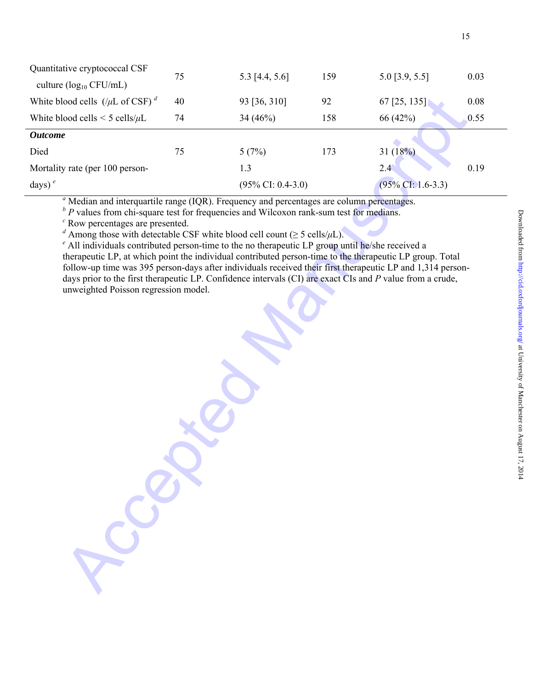| Quantitative cryptococcal CSF                                                                                                                                                                                                                                                                                                                                                                                                                                                                                                                                                                                                                                                                                                                                                                                                              | 75 | 5.3 [4.4, 5.6]                | 159 | $5.0$ [3.9, 5.5]     | 0.03 |
|--------------------------------------------------------------------------------------------------------------------------------------------------------------------------------------------------------------------------------------------------------------------------------------------------------------------------------------------------------------------------------------------------------------------------------------------------------------------------------------------------------------------------------------------------------------------------------------------------------------------------------------------------------------------------------------------------------------------------------------------------------------------------------------------------------------------------------------------|----|-------------------------------|-----|----------------------|------|
| culture ( $log_{10}$ CFU/mL)                                                                                                                                                                                                                                                                                                                                                                                                                                                                                                                                                                                                                                                                                                                                                                                                               |    |                               |     |                      |      |
| White blood cells $(\mu L \text{ of } CSF)^d$                                                                                                                                                                                                                                                                                                                                                                                                                                                                                                                                                                                                                                                                                                                                                                                              | 40 | 93 [36, 310]                  | 92  | 67 [25, 135]         | 0.08 |
| White blood cells $\leq$ 5 cells/ $\mu$ L                                                                                                                                                                                                                                                                                                                                                                                                                                                                                                                                                                                                                                                                                                                                                                                                  | 74 | 34 $(46%)$                    | 158 | 66 (42%)             | 0.55 |
| <b>Outcome</b>                                                                                                                                                                                                                                                                                                                                                                                                                                                                                                                                                                                                                                                                                                                                                                                                                             |    |                               |     |                      |      |
| Died                                                                                                                                                                                                                                                                                                                                                                                                                                                                                                                                                                                                                                                                                                                                                                                                                                       | 75 | 5(7%)                         | 173 | 31 $(18%)$           |      |
| Mortality rate (per 100 person-                                                                                                                                                                                                                                                                                                                                                                                                                                                                                                                                                                                                                                                                                                                                                                                                            |    | 1.3                           |     | 2.4                  | 0.19 |
| days) $e$                                                                                                                                                                                                                                                                                                                                                                                                                                                                                                                                                                                                                                                                                                                                                                                                                                  |    | $(95\% \text{ CI: } 0.4-3.0)$ |     | $(95\%$ CI: 1.6-3.3) |      |
| $a$ Median and interquartile range (IQR). Frequency and percentages are column percentages.<br>$\Delta^b$ P values from chi-square test for frequencies and Wilcoxon rank-sum test for medians.<br>$\degree$ Row percentages are presented.<br><sup>d</sup> Among those with detectable CSF white blood cell count ( $\geq$ 5 cells/ $\mu$ L).<br>$\epsilon$ All individuals contributed person-time to the no therapeutic LP group until he/she received a<br>therapeutic LP, at which point the individual contributed person-time to the therapeutic LP group. Total<br>follow-up time was 395 person-days after individuals received their first therapeutic LP and 1,314 person-<br>days prior to the first therapeutic LP. Confidence intervals (CI) are exact CIs and P value from a crude,<br>unweighted Poisson regression model. |    |                               |     |                      |      |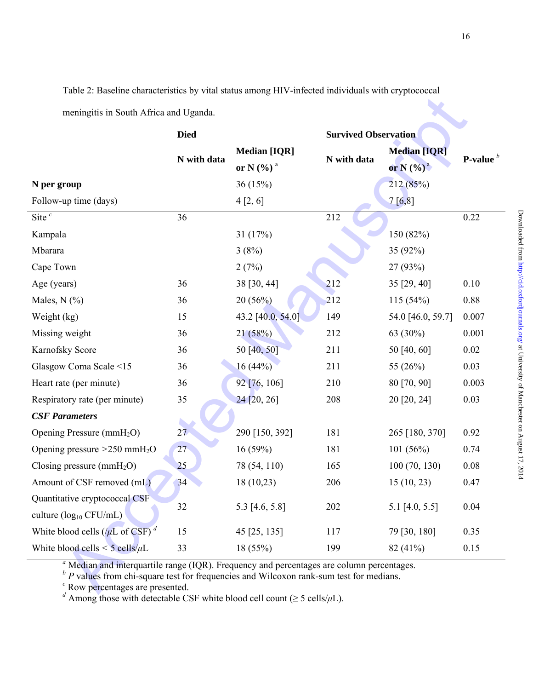Table 2: Baseline characteristics by vital status among HIV-infected individuals with cryptococcal

|                                                   | <b>Died</b> |                                            | <b>Survived Observation</b> |                                      |                |
|---------------------------------------------------|-------------|--------------------------------------------|-----------------------------|--------------------------------------|----------------|
|                                                   | N with data | <b>Median [IQR]</b><br>or N $(\% )$ $^{a}$ | N with data                 | <b>Median [IQR]</b><br>or N $(\%)^a$ | <b>P-value</b> |
| N per group                                       |             | 36(15%)                                    |                             | 212 (85%)                            |                |
| Follow-up time (days)                             |             | 4[2, 6]                                    |                             | 7 [6, 8]                             |                |
| Site $^c$                                         | 36          |                                            | 212                         |                                      | 0.22           |
| Kampala                                           |             | 31 $(17%)$                                 |                             | 150 (82%)                            |                |
| Mbarara                                           |             | 3(8%)                                      |                             | 35 (92%)                             |                |
| Cape Town                                         |             | 2(7%)                                      |                             | 27 (93%)                             |                |
| Age (years)                                       | 36          | 38 [30, 44]                                | 212                         | 35 [29, 40]                          | 0.10           |
| Males, $N$ $(\%)$                                 | 36          | 20(56%)                                    | 212                         | 115(54%)                             | 0.88           |
| Weight (kg)                                       | 15          | 43.2 [40.0, 54.0]                          | 149                         | 54.0 [46.0, 59.7]                    | 0.007          |
| Missing weight                                    | 36          | 21(58%)                                    | 212                         | 63 (30%)                             | 0.001          |
| Karnofsky Score                                   | 36          | 50 [40, 50]                                | 211                         | 50 [40, 60]                          | 0.02           |
| Glasgow Coma Scale <15                            | 36          | 16(44%)                                    | 211                         | 55 $(26%)$                           | 0.03           |
| Heart rate (per minute)                           | 36          | 92 [76, 106]                               | 210                         | 80 [70, 90]                          | 0.003          |
| Respiratory rate (per minute)                     | 35          | $24$ [20, 26]                              | 208                         | 20 [20, 24]                          | 0.03           |
| <b>CSF Parameters</b>                             |             |                                            |                             |                                      |                |
| Opening Pressure (mmH <sub>2</sub> O)             | 27          | 290 [150, 392]                             | 181                         | 265 [180, 370]                       | 0.92           |
| Opening pressure $>250$ mmH <sub>2</sub> O        | 27          | 16(59%)                                    | 181                         | 101(56%)                             | 0.74           |
| Closing pressure $(mmH2O)$                        | 25          | 78 (54, 110)                               | 165                         | 100(70, 130)                         | 0.08           |
| Amount of CSF removed (mL)                        | 34          | 18 (10,23)                                 | 206                         | 15(10, 23)                           | 0.47           |
| Quantitative cryptococcal CSF                     |             |                                            |                             |                                      |                |
| culture $(log_{10} CFU/mL)$                       | 32          | 5.3 [4.6, 5.8]                             | 202                         | 5.1 [4.0, 5.5]                       | 0.04           |
| White blood cells ( $/\mu$ L of CSF) <sup>d</sup> | 15          | 45 [25, 135]                               | 117                         | 79 [30, 180]                         | 0.35           |
| White blood cells $\leq$ 5 cells/ $\mu$ L         | 33          | 18(55%)                                    | 199                         | $82(41\%)$                           | 0.15           |

<sup>b</sup> P values from chi-square test for frequencies and Wilcoxon rank-sum test for medians.<br><sup>c</sup> Row percentages are presented.<br><sup>d</sup> Among those with detectable CSF white blood cell count ( $\geq$  5 cells/ $\mu$ L).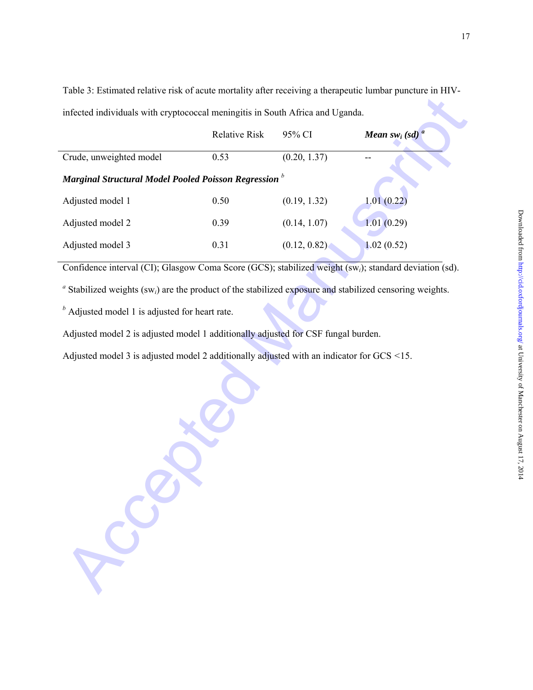Table 3: Estimated relative risk of acute mortality after receiving a therapeutic lumbar puncture in HIVinfected individuals with cryptococcal meningitis in South Africa and Uganda.

| infected individuals with cryptococcal meningitis in South Africa and Uganda.                                          |                      |              |                                       |
|------------------------------------------------------------------------------------------------------------------------|----------------------|--------------|---------------------------------------|
|                                                                                                                        | <b>Relative Risk</b> | 95% CI       | <b>Mean</b> sw <sub>i</sub> (sd) $^a$ |
| Crude, unweighted model                                                                                                | 0.53                 | (0.20, 1.37) |                                       |
| Marginal Structural Model Pooled Poisson Regression $^b$                                                               |                      |              |                                       |
| Adjusted model 1                                                                                                       | 0.50                 | (0.19, 1.32) | 1.01(0.22)                            |
| Adjusted model 2                                                                                                       | 0.39                 | (0.14, 1.07) | 1.01(0.29)                            |
| Adjusted model 3                                                                                                       | 0.31                 | (0.12, 0.82) | 1.02(0.52)                            |
| Confidence interval (CI); Glasgow Coma Score (GCS); stabilized weight (sw <sub>i</sub> ); standard deviation (sd).     |                      |              |                                       |
| $a$ Stabilized weights (sw <sub>i</sub> ) are the product of the stabilized exposure and stabilized censoring weights. |                      |              |                                       |
| $b$ Adjusted model 1 is adjusted for heart rate.                                                                       |                      |              |                                       |
| Adjusted model 2 is adjusted model 1 additionally adjusted for CSF fungal burden.                                      |                      |              |                                       |
| Adjusted model 3 is adjusted model 2 additionally adjusted with an indicator for GCS <15.                              |                      |              |                                       |
|                                                                                                                        |                      |              |                                       |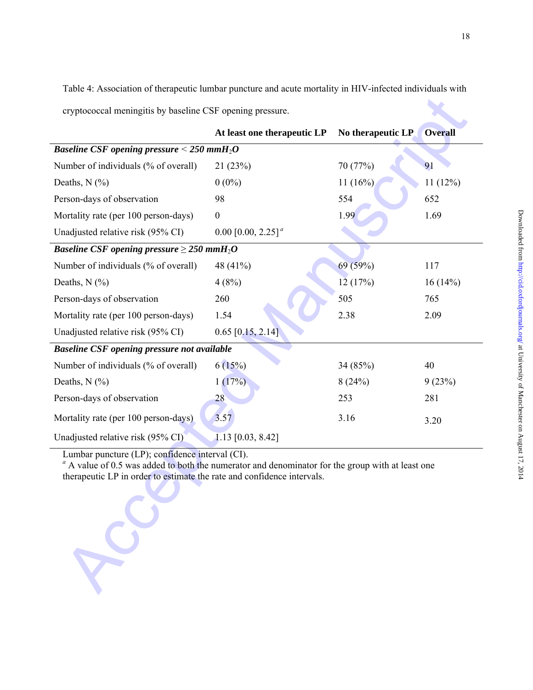Table 4: Association of therapeutic lumbar puncture and acute mortality in HIV-infected individuals with cryptococcal meningitis by baseline CSF opening pressure.

| cryptococcal meningitis by baseline CSF opening pressure.                                                                                                                                                                       |                                                                |                   |                |  |  |  |  |
|---------------------------------------------------------------------------------------------------------------------------------------------------------------------------------------------------------------------------------|----------------------------------------------------------------|-------------------|----------------|--|--|--|--|
|                                                                                                                                                                                                                                 | At least one therapeutic LP                                    | No therapeutic LP | <b>Overall</b> |  |  |  |  |
|                                                                                                                                                                                                                                 | <b>Baseline CSF opening pressure &lt; 250 mmH<sub>2</sub>O</b> |                   |                |  |  |  |  |
| Number of individuals (% of overall)                                                                                                                                                                                            | 21(23%)                                                        | 70 (77%)          | 91             |  |  |  |  |
| Deaths, $N$ $(\%$ )                                                                                                                                                                                                             | $0(0\%)$                                                       | 11(16%)           | 11(12%)        |  |  |  |  |
| Person-days of observation                                                                                                                                                                                                      | 98                                                             | 554               | 652            |  |  |  |  |
| Mortality rate (per 100 person-days)                                                                                                                                                                                            | $\overline{0}$                                                 | 1.99              | 1.69           |  |  |  |  |
| Unadjusted relative risk (95% CI)                                                                                                                                                                                               | 0.00 $[0.00, 2.25]^a$                                          |                   |                |  |  |  |  |
| <i>Baseline CSF opening pressure</i> $\geq$ 250 mmH <sub>2</sub> O                                                                                                                                                              |                                                                |                   |                |  |  |  |  |
| Number of individuals (% of overall)                                                                                                                                                                                            | 48 (41%)                                                       | 69 (59%)          | 117            |  |  |  |  |
| Deaths, $N$ $(\frac{9}{6})$                                                                                                                                                                                                     | 4(8%)                                                          | 12(17%)           | 16(14%)        |  |  |  |  |
| Person-days of observation                                                                                                                                                                                                      | 260                                                            | 505               | 765            |  |  |  |  |
| Mortality rate (per 100 person-days)                                                                                                                                                                                            | 1.54                                                           | 2.38              | 2.09           |  |  |  |  |
| Unadjusted relative risk (95% CI)                                                                                                                                                                                               | $0.65$ [0,15, 2.14]                                            |                   |                |  |  |  |  |
| <b>Baseline CSF opening pressure not available</b>                                                                                                                                                                              |                                                                |                   |                |  |  |  |  |
| Number of individuals (% of overall)                                                                                                                                                                                            | 6(15%)                                                         | 34 (85%)          | 40             |  |  |  |  |
| Deaths, $N$ $(\%$                                                                                                                                                                                                               | 1(17%)                                                         | 8(24%)            | 9(23%)         |  |  |  |  |
| Person-days of observation                                                                                                                                                                                                      | 28                                                             | 253               | 281            |  |  |  |  |
| Mortality rate (per 100 person-days)                                                                                                                                                                                            | 3.57                                                           | 3.16              | 3.20           |  |  |  |  |
| Unadjusted relative risk (95% CI)                                                                                                                                                                                               | $1.13$ [0.03, 8.42]                                            |                   |                |  |  |  |  |
| Lumbar puncture (LP); confidence interval (CI).<br>$a$ A value of 0.5 was added to both the numerator and denominator for the group with at least one<br>therapeutic LP in order to estimate the rate and confidence intervals. |                                                                |                   |                |  |  |  |  |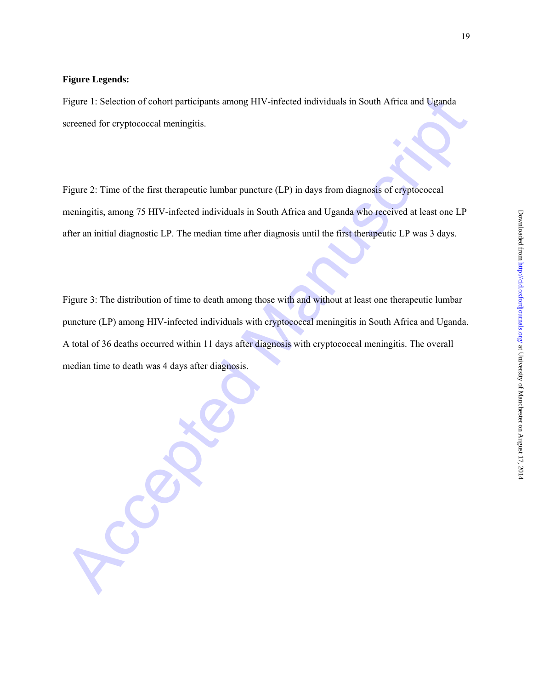# **Figure Legends:**

Figure 1: Selection of cohort participants among HIV-infected individuals in South Africa and Uganda screened for cryptococcal meningitis.

Figure 2: Time of the first therapeutic lumbar puncture (LP) in days from diagnosis of cryptococcal meningitis, among 75 HIV-infected individuals in South Africa and Uganda who received at least one LP after an initial diagnostic LP. The median time after diagnosis until the first therapeutic LP was 3 days.

Figure 1: Selection of cobort participants among HIV-infected individuals in South Africa and Leganda<br>screened for cryptococcal meningitis.<br>Figure 2: Time of the first therapeutie lambar paracture (1.P) in days from diagno Figure 3: The distribution of time to death among those with and without at least one therapeutic lumbar puncture (LP) among HIV-infected individuals with cryptococcal meningitis in South Africa and Uganda. A total of 36 deaths occurred within 11 days after diagnosis with cryptococcal meningitis. The overall median time to death was 4 days after diagnosis.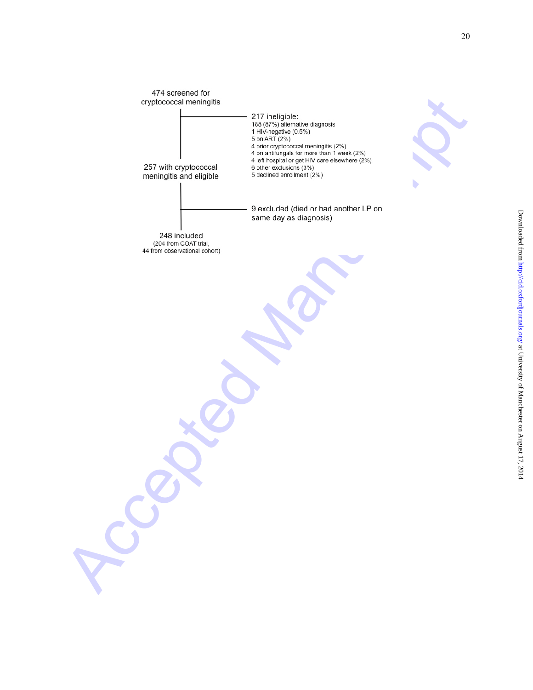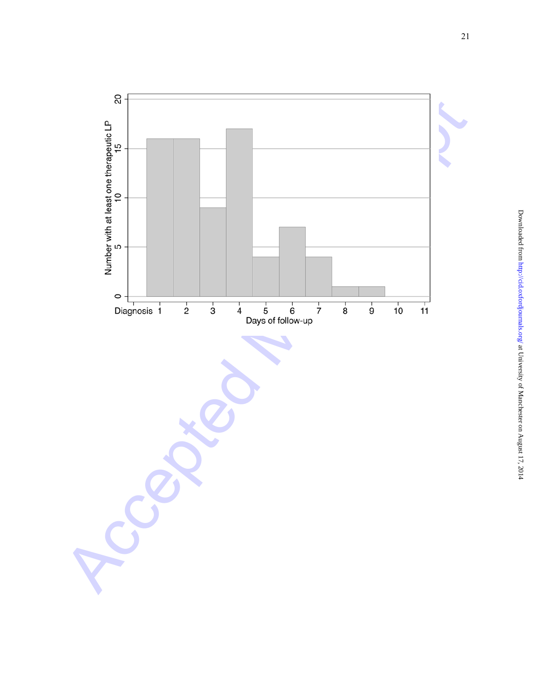